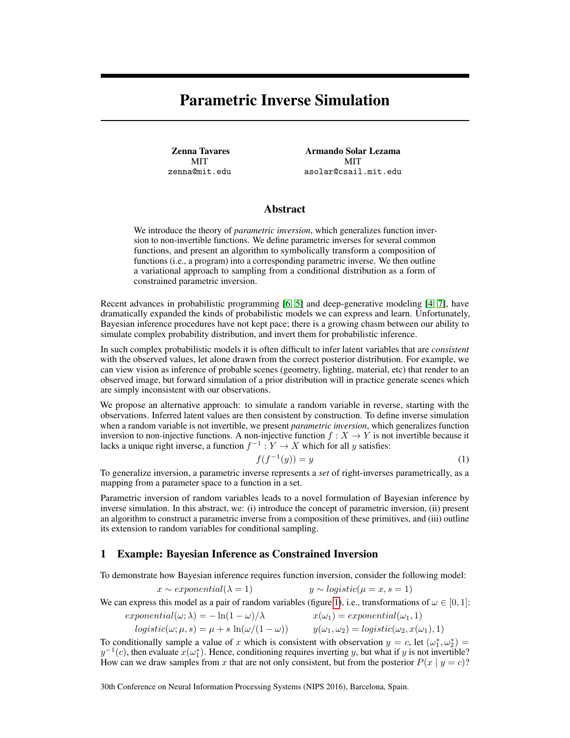# Parametric Inverse Simulation

Zenna Tavares **MIT** zenna@mit.edu

Armando Solar Lezama MIT asolar@csail.mit.edu

# Abstract

We introduce the theory of *parametric inversion*, which generalizes function inversion to non-invertible functions. We define parametric inverses for several common functions, and present an algorithm to symbolically transform a composition of functions (i.e., a program) into a corresponding parametric inverse. We then outline a variational approach to sampling from a conditional distribution as a form of constrained parametric inversion.

Recent advances in probabilistic programming [\[6,](#page-4-0) [5\]](#page-4-1) and deep-generative modeling [\[4,](#page-4-2) [7\]](#page-4-3), have dramatically expanded the kinds of probabilistic models we can express and learn. Unfortunately, Bayesian inference procedures have not kept pace; there is a growing chasm between our ability to simulate complex probability distribution, and invert them for probabilistic inference.

In such complex probabilistic models it is often difficult to infer latent variables that are *consistent* with the observed values, let alone drawn from the correct posterior distribution. For example, we can view vision as inference of probable scenes (geometry, lighting, material, etc) that render to an observed image, but forward simulation of a prior distribution will in practice generate scenes which are simply inconsistent with our observations.

We propose an alternative approach: to simulate a random variable in reverse, starting with the observations. Inferred latent values are then consistent by construction. To define inverse simulation when a random variable is not invertible, we present *parametric inversion*, which generalizes function inversion to non-injective functions. A non-injective function  $f : X \to Y$  is not invertible because it lacks a unique right inverse, a function  $f^{-1}: Y \to X$  which for all y satisfies:

<span id="page-0-0"></span>
$$
f(f^{-1}(y)) = y \tag{1}
$$

To generalize inversion, a parametric inverse represents a *set* of right-inverses parametrically, as a mapping from a parameter space to a function in a set.

Parametric inversion of random variables leads to a novel formulation of Bayesian inference by inverse simulation. In this abstract, we: (i) introduce the concept of parametric inversion, (ii) present an algorithm to construct a parametric inverse from a composition of these primitives, and (iii) outline its extension to random variables for conditional sampling.

### 1 Example: Bayesian Inference as Constrained Inversion

To demonstrate how Bayesian inference requires function inversion, consider the following model:

$$
x \sim exponential(\lambda = 1) \qquad y \sim logistic(\mu = x, s = 1)
$$

We can express this model as a pair of random variables (figure [1\)](#page-1-0), i.e., transformations of  $\omega \in [0, 1]$ :

$$
exponential(\omega; \lambda) = -\ln(1 - \omega)/\lambda \qquad x(\omega_1) = exponential(\omega_1, 1)
$$
  

$$
logistic(\omega; \mu, s) = \mu + s \ln(\omega/(1 - \omega)) \qquad y(\omega_1, \omega_2) = logistic(\omega_2, x(\omega_1), 1)
$$

To conditionally sample a value of x which is consistent with observation  $y = c$ , let  $(\omega_1^*, \omega_2^*)$  $y^{-1}(c)$ , then evaluate  $x(\omega_1^*)$ . Hence, conditioning requires inverting y, but what if y is not invertible? How can we draw samples from x that are not only consistent, but from the posterior  $P(x | y = c)$ ?

30th Conference on Neural Information Processing Systems (NIPS 2016), Barcelona, Spain.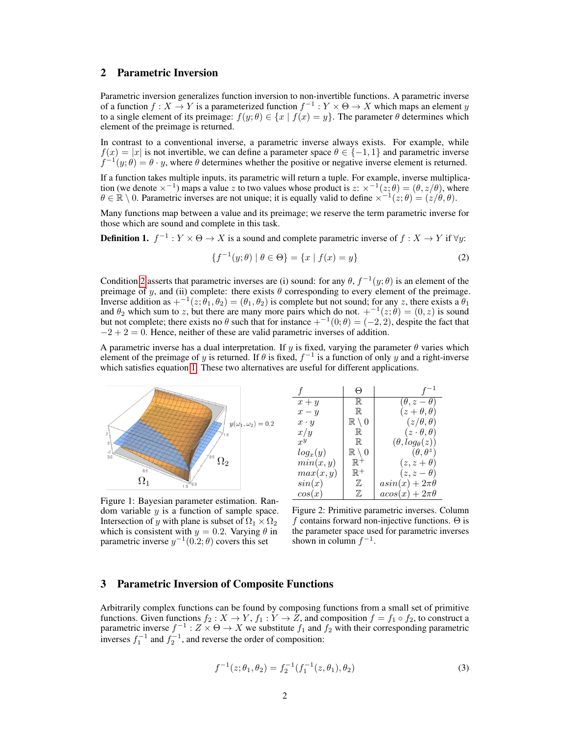# 2 Parametric Inversion

Parametric inversion generalizes function inversion to non-invertible functions. A parametric inverse of a function  $f: X \to Y$  is a parameterized function  $f^{-1}: Y \times \Theta \to X$  which maps an element y to a single element of its preimage:  $f(y; \theta) \in \{x \mid f(x) = y\}$ . The parameter  $\theta$  determines which element of the preimage is returned.

In contrast to a conventional inverse, a parametric inverse always exists. For example, while  $f(x) = |x|$  is not invertible, we can define a parameter space  $\theta \in \{-1, 1\}$  and parametric inverse  $f^{-1}(y; \theta) = \theta \cdot y$ , where  $\theta$  determines whether the positive or negative inverse element is returned.

If a function takes multiple inputs, its parametric will return a tuple. For example, inverse multiplication (we denote  $\times^{-1}$ ) maps a value z to two values whose product is  $z: \times^{-1}(z;\theta) = (\theta, z/\theta)$ , where  $\theta \in \mathbb{R} \setminus 0$ . Parametric inverses are not unique; it is equally valid to define  $\chi^{-1}(z;\theta) = (z/\theta, \theta)$ .

Many functions map between a value and its preimage; we reserve the term parametric inverse for those which are sound and complete in this task.

**Definition 1.**  $f^{-1}: Y \times \Theta \to X$  is a sound and complete parametric inverse of  $f: X \to Y$  if  $\forall y$ :

$$
\{f^{-1}(y; \theta) \mid \theta \in \Theta\} = \{x \mid f(x) = y\}
$$
 (2)

Condition [2](#page-1-1) asserts that parametric inverses are (i) sound: for any  $\theta$ ,  $f^{-1}(y; \theta)$  is an element of the preimage of y, and (ii) complete: there exists  $\theta$  corresponding to every element of the preimage. Inverse addition as  $+^{-1}(z; \theta_1, \theta_2) = (\theta_1, \theta_2)$  is complete but not sound; for any z, there exists a  $\theta_1$ and  $\theta_2$  which sum to z, but there are many more pairs which do not.  $+^{-1}(z;\theta) = (0, z)$  is sound but not complete; there exists no  $\theta$  such that for instance  $+^{-1}(0;\theta) = (-2, 2)$ , despite the fact that  $-2 + 2 = 0$ . Hence, neither of these are valid parametric inverses of addition.

A parametric inverse has a dual interpretation. If y is fixed, varying the parameter  $\theta$  varies which element of the preimage of y is returned. If  $\theta$  is fixed,  $f^{-1}$  is a function of only y and a right-inverse which satisfies equation [1.](#page-0-0) These two alternatives are useful for different applications.

<span id="page-1-0"></span>

Figure 1: Bayesian parameter estimation. Random variable  $y$  is a function of sample space. Intersection of y with plane is subset of  $\Omega_1 \times \Omega_2$ which is consistent with  $y = 0.2$ . Varying  $\theta$  in parametric inverse  $y^{-1}(0.2; \theta)$  covers this set

<span id="page-1-1"></span>

|             | $_{\odot}$               |                             |
|-------------|--------------------------|-----------------------------|
| $x + y$     | $\mathbb R$              | $(\theta, z - \theta)$      |
| $x - y$     | $\mathbb R$              | $(z+\theta, \theta)$        |
| $x \cdot y$ | $\mathbb{R} \setminus 0$ | $(z/\theta, \theta)$        |
| x/y         | $\mathbb R$              | $(z\cdot\theta,\theta)$     |
| $x^y$       | $\mathbb R$              | $(\theta, log_{\theta}(z))$ |
| $log_x(y)$  | $\mathbb{R} \setminus 0$ | $(\theta, \theta^z)$        |
| min(x, y)   | $\mathbb{R}^+$           | $(z, z + \theta)$           |
| max(x, y)   | $\mathbb{R}^+$           | $(z, z - \theta)$           |
| sin(x)      | Z                        | $asin(x) + 2\pi\theta$      |
| cos(x)      | $\mathbb Z$              | $acos(x) + 2\pi\theta$      |

Figure 2: Primitive parametric inverses. Column f contains forward non-injective functions.  $\Theta$  is the parameter space used for parametric inverses shown in column  $f^{-1}$ .

## 3 Parametric Inversion of Composite Functions

<span id="page-1-2"></span>Arbitrarily complex functions can be found by composing functions from a small set of primitive functions. Given functions  $f_2: X \to Y$ ,  $f_1: Y \to Z$ , and composition  $f = f_1 \circ f_2$ , to construct a parametric inverse  $f^{-1}: Z \times \Theta \to X$  we substitute  $f_1$  and  $f_2$  with their corresponding parametric inverses  $f_1^{-1}$  and  $f_2^{-1}$ , and reverse the order of composition:

$$
f^{-1}(z; \theta_1, \theta_2) = f_2^{-1}(f_1^{-1}(z, \theta_1), \theta_2)
$$
\n(3)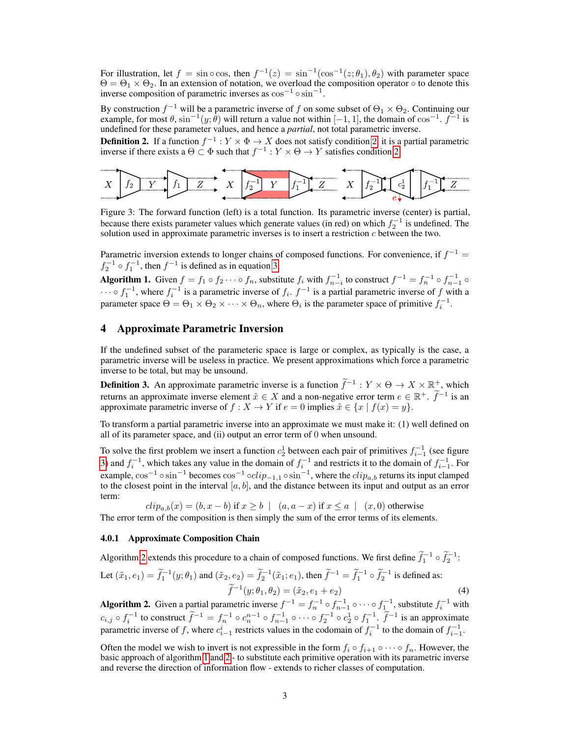For illustration, let  $f = \sin \circ \cos$ , then  $f^{-1}(z) = \sin^{-1}(\cos^{-1}(z; \theta_1), \theta_2)$  with parameter space  $\Theta = \Theta_1 \times \Theta_2$ . In an extension of notation, we overload the composition operator  $\circ$  to denote this inverse composition of parametric inverses as  $\cos^{-1} \circ \sin^{-1}$ .

By construction  $f^{-1}$  will be a parametric inverse of f on some subset of  $\Theta_1 \times \Theta_2$ . Continuing our example, for most  $\theta$ ,  $\sin^{-1}(y; \dot{\theta})$  will return a value not within  $[-1, 1]$ , the domain of  $\cos^{-1}$ .  $f^{-1}$  is undefined for these parameter values, and hence a *partial*, not total parametric inverse.

**Definition [2](#page-1-1).** If a function  $f^{-1}: Y \times \Phi \to X$  does not satisfy condition 2, it is a partial parametric inverse if there exists a  $\Theta \subset \Phi$  such that  $f^{-1}: Y \times \Theta \to Y$  satisfies condition [2.](#page-1-1)

<span id="page-2-0"></span>

Figure 3: The forward function (left) is a total function. Its parametric inverse (center) is partial, because there exists parameter values which generate values (in red) on which  $f_2^{-1}$  is undefined. The solution used in approximate parametric inverses is to insert a restriction  $c$  between the two.

Parametric inversion extends to longer chains of composed functions. For convenience, if  $f^{-1}$  =  $f_2^{-1} \circ f_1^{-1}$ , then  $f^{-1}$  is defined as in equation [3,](#page-1-2)

<span id="page-2-2"></span>Algorithm 1. Given  $f = f_1 \circ f_2 \cdots \circ f_n$ , substitute  $f_i$  with  $f_{n-i}^{-1}$  to construct  $f^{-1} = f_n^{-1} \circ f_{n-1}^{-1} \circ f_{n-1}^{-1}$  $\cdots \circ f_1^{-1}$ , where  $f_i^{-1}$  is a parametric inverse of  $f_i$ .  $f^{-1}$  is a partial parametric inverse of f with a parameter space  $\Theta = \Theta_1 \times \Theta_2 \times \cdots \times \Theta_n$ , where  $\Theta_i$  is the parameter space of primitive  $f_i^{-1}$ .

## 4 Approximate Parametric Inversion

If the undefined subset of the parameteric space is large or complex, as typically is the case, a parametric inverse will be useless in practice. We present approximations which force a parametric inverse to be total, but may be unsound.

**Definition 3.** An approximate parametric inverse is a function  $\tilde{f}^{-1}: Y \times \Theta \to X \times \mathbb{R}^+$ , which returns an approximate inverse element  $\tilde{x} \in X$  and a non-negative error term  $e \in \mathbb{R}^+$ .  $\tilde{f}^{-1}$  is an approximate parametric inverse of  $f : X \to Y$  if  $e = 0$  implies  $\tilde{x} \in \{x \mid f(x) = y\}.$ 

To transform a partial parametric inverse into an approximate we must make it: (1) well defined on all of its parameter space, and (ii) output an error term of 0 when unsound.

To solve the first problem we insert a function  $c_2^1$  between each pair of primitives  $f_{i-1}^{-1}$  (see figure [3\)](#page-2-0) and  $f_i^{-1}$ , which takes any value in the domain of  $f_i^{-1}$  and restricts it to the domain of  $f_{i-1}^{-1}$ . For example,  $\cos^{-1} \circ \sin^{-1}$  becomes  $\cos^{-1} \circ clip_{-1,1} \circ \sin^{-1}$ , where the  $clip_{a,b}$  returns its input clamped to the closest point in the interval  $[a, b]$ , and the distance between its input and output as an error term:

 $clip_{a,b}(x) = (b, x - b)$  if  $x \ge b \mid (a, a - x)$  if  $x \le a \mid (x, 0)$  otherwise

The error term of the composition is then simply the sum of the error terms of its elements.

#### 4.0.1 Approximate Composition Chain

Algorithm [2](#page-2-1) extends this procedure to a chain of composed functions. We first define  $\tilde{f}_1^{-1} \circ \tilde{f}_2^{-1}$ : Let  $(\tilde{x}_1, e_1) = \tilde{f}_1^{-1}(y; \theta_1)$  and  $(\tilde{x}_2, e_2) = \tilde{f}_2^{-1}(\tilde{x}_1; e_1)$ , then  $\tilde{f}_1^{-1} = \tilde{f}_1^{-1} \circ \tilde{f}_2^{-1}$  is defined as:  $\widetilde{f}^{-1}(y; \theta_1, \theta_2) = (\tilde{x}_2, e_1 + e_2)$ (4)

<span id="page-2-1"></span>Algorithm 2. Given a partial parametric inverse  $f^{-1} = f_n^{-1} \circ f_{n-1}^{-1} \circ \cdots \circ f_1^{-1}$ , substitute  $f_i^{-1}$  with  $c_{i,j} \circ f_i^{-1}$  to construct  $\tilde{f}^{-1} = f_n^{-1} \circ c_n^{n-1} \circ f_{n-1}^{-1} \circ \cdots \circ f_2^{-1} \circ c_2^1 \circ f_1^{-1}$ .  $\tilde{f}^{-1}$  is an approximate parametric inverse of f, where  $c_{i-1}^i$  restricts values in the codomain of  $f_i^{-1}$  to the domain of  $f_{i-1}^{-1}$ .

Often the model we wish to invert is not expressible in the form  $f_i \circ f_{i+1} \circ \cdots \circ f_n$ . However, the basic approach of algorithm [1](#page-2-2) and [2](#page-2-1) - to substitute each primitive operation with its parametric inverse and reverse the direction of information flow - extends to richer classes of computation.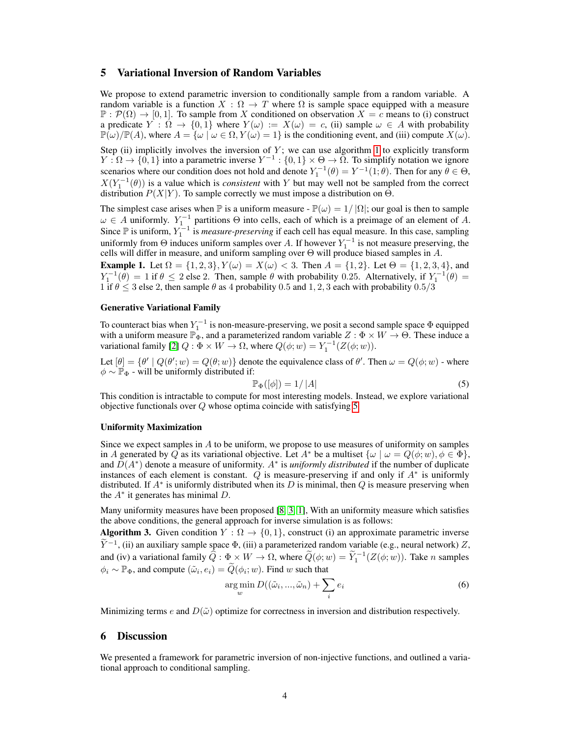## 5 Variational Inversion of Random Variables

We propose to extend parametric inversion to conditionally sample from a random variable. A random variable is a function  $X : \Omega \to T$  where  $\Omega$  is sample space equipped with a measure  $\mathbb{P}: \mathcal{P}(\Omega) \to [0, 1]$ . To sample from X conditioned on observation  $X = c$  means to (i) construct a predicate  $Y : \Omega \to \{0,1\}$  where  $Y(\omega) := X(\omega) = c$ , (ii) sample  $\omega \in A$  with probability  $\mathbb{P}(\omega)/\mathbb{P}(A)$ , where  $A = {\omega \mid \omega \in \Omega, Y(\omega) = 1}$  is the conditioning event, and (iii) compute  $X(\omega)$ .

Step (ii) implicitly involves the inversion of  $Y$ ; we can use algorithm [1](#page-2-2) to explicitly transform  $Y:\Omega\to\{0,1\}$  into a parametric inverse  $Y^{-1}:\{0,1\}\times\Theta\to\Omega$ . To simplify notation we ignore scenarios where our condition does not hold and denote  $Y_1^{-1}(\theta) = Y^{-1}(1;\theta)$ . Then for any  $\theta \in \Theta$ ,  $X(Y_1^{-1}(\theta))$  is a value which is *consistent* with Y but may well not be sampled from the correct distribution  $P(X|Y)$ . To sample correctly we must impose a distribution on  $\Theta$ .

The simplest case arises when  $\mathbb P$  is a uniform measure -  $\mathbb P(\omega) = 1/|\Omega|$ ; our goal is then to sample  $\omega \in A$  uniformly.  $Y_1^{-1}$  partitions  $\Theta$  into cells, each of which is a preimage of an element of A. Since  $\mathbb P$  is uniform,  $Y_1^{-1}$  is *measure-preserving* if each cell has equal measure. In this case, sampling uniformly from  $\Theta$  induces uniform samples over A. If however  $Y_1^{-1}$  is not measure preserving, the cells will differ in measure, and uniform sampling over  $\Theta$  will produce biased samples in A.

**Example 1.** Let  $\Omega = \{1, 2, 3\}$ ,  $Y(\omega) = X(\omega) < 3$ . Then  $A = \{1, 2\}$ . Let  $\Theta = \{1, 2, 3, 4\}$ , and  $Y_1^{-1}(\theta) = 1$  if  $\theta \le 2$  else 2. Then, sample  $\theta$  with probability 0.25. Alternatively, if  $Y_1^{-1}(\theta) =$ 1 if  $\theta \leq 3$  else 2, then sample  $\theta$  as 4 probability 0.5 and 1, 2, 3 each with probability 0.5/3

#### Generative Variational Family

To counteract bias when  $Y_1^{-1}$  is non-measure-preserving, we posit a second sample space  $\Phi$  equipped with a uniform measure  $\mathbb{P}_{\Phi}$ , and a parameterized random variable  $Z : \Phi \times W \to \Theta$ . These induce a variational family [\[2\]](#page-4-4)  $Q : \Phi \times W \to \Omega$ , where  $Q(\phi; w) = Y_1^{-1}(Z(\phi; w))$ .

Let  $[\theta] = {\theta' | Q(\theta'; w) = Q(\theta; w)}$  denote the equivalence class of  $\theta'$ . Then  $\omega = Q(\phi; w)$  - where  $\phi \sim \mathbb{P}_{\Phi}$  - will be uniformly distributed if:

<span id="page-3-0"></span>
$$
\mathbb{P}_{\Phi}([\phi]) = 1/|A| \tag{5}
$$

This condition is intractable to compute for most interesting models. Instead, we explore variational objective functionals over  $Q$  whose optima coincide with satisfying [5](#page-3-0)

#### Uniformity Maximization

Since we expect samples in  $A$  to be uniform, we propose to use measures of uniformity on samples in A generated by Q as its variational objective. Let  $A^*$  be a multiset  $\{\omega \mid \omega = Q(\phi; w), \phi \in \Phi\}$ , and  $D(A^*)$  denote a measure of uniformity.  $A^*$  is *uniformly distributed* if the number of duplicate instances of each element is constant.  $Q$  is measure-preserving if and only if  $A^*$  is uniformly distributed. If  $A^*$  is uniformly distributed when its D is minimal, then Q is measure preserving when the  $A^*$  it generates has minimal  $D$ .

Many uniformity measures have been proposed [\[8,](#page-4-5) [3,](#page-4-6) [1\]](#page-4-7), With an uniformity measure which satisfies the above conditions, the general approach for inverse simulation is as follows:

**Algorithm 3.** Given condition  $Y : \Omega \to \{0, 1\}$ , construct (i) an approximate parametric inverse  $\widetilde{Y}^{-1}$ , (ii) an auxiliary sample space  $\Phi$ , (iii) a parameterized random variable (e.g., neural network) Z, and (iv) a variational family  $\widehat{Q} : \Phi \times W \to \Omega$ , where  $\widetilde{Q}(\phi; w) = \widetilde{Y}_1^{-1}(Z(\phi; w))$ . Take *n* samples  $\phi_i \sim \mathbb{P}_{\Phi}$ , and compute  $(\tilde{\omega}_i, e_i) = \tilde{Q}(\phi_i; w)$ . Find w such that

$$
\underset{w}{\arg\min} D((\tilde{\omega}_i, ..., \tilde{\omega}_n) + \sum_i e_i \tag{6}
$$

Minimizing terms e and  $D(\tilde{\omega})$  optimize for correctness in inversion and distribution respectively.

## 6 Discussion

We presented a framework for parametric inversion of non-injective functions, and outlined a variational approach to conditional sampling.